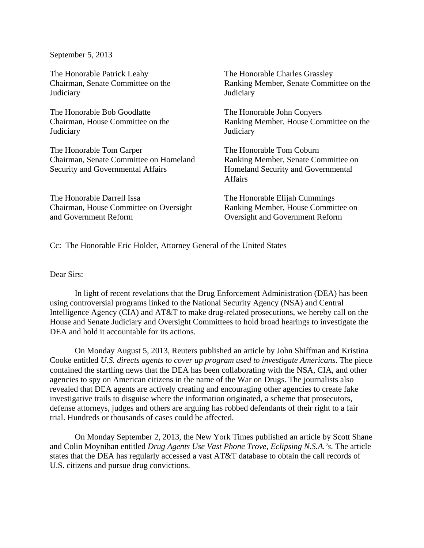September 5, 2013

The Honorable Patrick Leahy Chairman, Senate Committee on the **Judiciary** 

The Honorable Bob Goodlatte Chairman, House Committee on the **Judiciary** 

The Honorable Tom Carper Chairman, Senate Committee on Homeland Security and Governmental Affairs

The Honorable Darrell Issa Chairman, House Committee on Oversight and Government Reform

The Honorable Charles Grassley Ranking Member, Senate Committee on the **Judiciary** 

The Honorable John Conyers Ranking Member, House Committee on the **Judiciary** 

The Honorable Tom Coburn Ranking Member, Senate Committee on Homeland Security and Governmental Affairs

The Honorable Elijah Cummings Ranking Member, House Committee on Oversight and Government Reform

Cc: The Honorable Eric Holder, Attorney General of the United States

Dear Sirs:

 In light of recent revelations that the Drug Enforcement Administration (DEA) has been using controversial programs linked to the National Security Agency (NSA) and Central Intelligence Agency (CIA) and AT&T to make drug-related prosecutions, we hereby call on the House and Senate Judiciary and Oversight Committees to hold broad hearings to investigate the DEA and hold it accountable for its actions.

On Monday August 5, 2013, Reuters published an article by John Shiffman and Kristina Cooke entitled *U.S. directs agents to cover up program used to investigate Americans*. The piece contained the startling news that the DEA has been collaborating with the NSA, CIA, and other agencies to spy on American citizens in the name of the War on Drugs. The journalists also revealed that DEA agents are actively creating and encouraging other agencies to create fake investigative trails to disguise where the information originated, a scheme that prosecutors, defense attorneys, judges and others are arguing has robbed defendants of their right to a fair trial. Hundreds or thousands of cases could be affected.

On Monday September 2, 2013, the New York Times published an article by Scott Shane and Colin Moynihan entitled *Drug Agents Use Vast Phone Trove, Eclipsing N.S.A.'s.* The article states that the DEA has regularly accessed a vast AT&T database to obtain the call records of U.S. citizens and pursue drug convictions.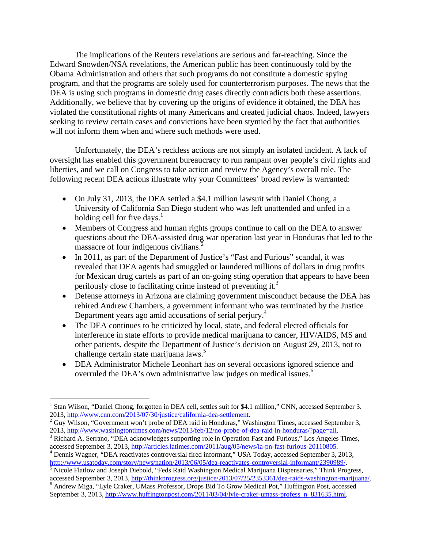The implications of the Reuters revelations are serious and far-reaching. Since the Edward Snowden/NSA revelations, the American public has been continuously told by the Obama Administration and others that such programs do not constitute a domestic spying program, and that the programs are solely used for counterterrorism purposes. The news that the DEA is using such programs in domestic drug cases directly contradicts both these assertions. Additionally, we believe that by covering up the origins of evidence it obtained, the DEA has violated the constitutional rights of many Americans and created judicial chaos. Indeed, lawyers seeking to review certain cases and convictions have been stymied by the fact that authorities will not inform them when and where such methods were used.

Unfortunately, the DEA's reckless actions are not simply an isolated incident. A lack of oversight has enabled this government bureaucracy to run rampant over people's civil rights and liberties, and we call on Congress to take action and review the Agency's overall role. The following recent DEA actions illustrate why your Committees' broad review is warranted:

- On July 31, 2013, the DEA settled a \$4.1 million lawsuit with Daniel Chong, a University of California San Diego student who was left unattended and unfed in a holding cell for five days. $<sup>1</sup>$ </sup>
- Members of Congress and human rights groups continue to call on the DEA to answer questions about the DEA-assisted drug war operation last year in Honduras that led to the massacre of four indigenous civilians.<sup>2</sup>
- In 2011, as part of the Department of Justice's "Fast and Furious" scandal, it was revealed that DEA agents had smuggled or laundered millions of dollars in drug profits for Mexican drug cartels as part of an on-going sting operation that appears to have been perilously close to facilitating crime instead of preventing it.<sup>3</sup>
- Defense attorneys in Arizona are claiming government misconduct because the DEA has rehired Andrew Chambers, a government informant who was terminated by the Justice Department years ago amid accusations of serial perjury.<sup>4</sup>
- The DEA continues to be criticized by local, state, and federal elected officials for interference in state efforts to provide medical marijuana to cancer, HIV/AIDS, MS and other patients, despite the Department of Justice's decision on August 29, 2013, not to challenge certain state marijuana laws.<sup>5</sup>
- DEA Administrator Michele Leonhart has on several occasions ignored science and overruled the DEA's own administrative law judges on medical issues.<sup>6</sup>

1

<sup>&</sup>lt;sup>1</sup> Stan Wilson, "Daniel Chong, forgotten in DEA cell, settles suit for \$4.1 million," CNN, accessed September 3. 2013, http://www.cnn.com/2013/07/30/justice/california-dea-settlement. 2

<sup>&</sup>lt;sup>2</sup> Guy Wilson, "Government won't probe of DEA raid in Honduras," Washington Times, accessed September 3, 2013, http://www.washingtontimes.com/news/2013/feb/12/no-probe-of-dea-raid-in-honduras/?page=all. 3

<sup>&</sup>lt;sup>3</sup> Richard A. Serrano, "DEA acknowledges supporting role in Operation Fast and Furious," Los Angeles Times, accessed September 3, 2013, http://articles.latimes.com/2011/aug/05/news/la-pn-fast-furious-20110805.

Dennis Wagner, "DEA reactivates controversial fired informant," USA Today, accessed September 3, 2013, http://www.usatoday.com/story/news/nation/2013/06/05/dea-reactivates-controversial-informant/2390989/.

<sup>&</sup>lt;sup>5</sup> Nicole Flatlow and Joseph Diebold, "Feds Raid Washington Medical Marijuana Dispensaries," Think Progress, accessed September 3, 2013, http://thinkprogress.org/justice/2013/07/25/2353361/dea-raids-washington-marijuana/. 6

<sup>&</sup>lt;sup>6</sup> Andrew Miga, "Lyle Craker, UMass Professor, Drops Bid To Grow Medical Pot," Huffington Post, accessed September 3, 2013, http://www.huffingtonpost.com/2011/03/04/lyle-craker-umass-profess\_n\_831635.html.